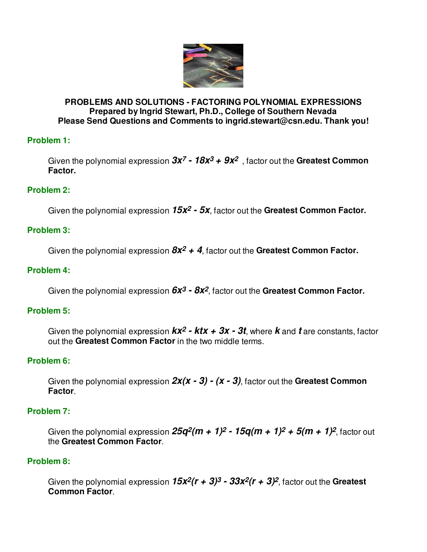

### **PROBLEMS AND SOLUTIONS - FACTORING POLYNOMIAL EXPRESSIONS Prepared by Ingrid Stewart, Ph.D., College of Southern Nevada Please Send Questions and Comments to ingrid.stewart@csn.edu. Thank you!**

## **Problem 1:**

Given the polynomial expression **3x7 - 18x3 + 9x2** , factor out the **Greatest Common Factor.**

## **Problem 2:**

Given the polynomial expression **15x2 - 5x**, factor out the **Greatest Common Factor.**

## **Problem 3:**

Given the polynomial expression **8x2 + 4**, factor out the **Greatest Common Factor.**

## **Problem 4:**

Given the polynomial expression **6x3 - 8x2**, factor out the **Greatest Common Factor.**

## **Problem 5:**

Given the polynomial expression **kx2 - ktx + 3x - 3t**, where **k** and **t** are constants, factor out the **Greatest Common Factor** in the two middle terms.

## **Problem 6:**

Given the polynomial expression **2x(x - 3) - (x - 3)**, factor out the **Greatest Common Factor**.

## **Problem 7:**

Given the polynomial expression  $25q^2(m + 1)^2 - 15q(m + 1)^2 + 5(m + 1)^2$ , factor out the **Greatest Common Factor**.

## **Problem 8:**

Given the polynomial expression **15x2(r + 3)3 - 33x2(r + 3)2**, factor out the **Greatest Common Factor**.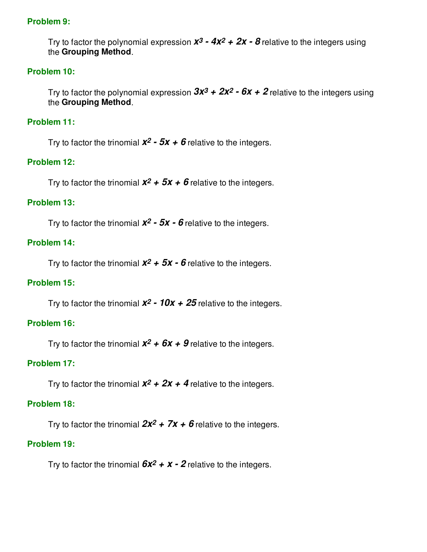### **Problem 9:**

Try to factor the polynomial expression  $x^3 - 4x^2 + 2x - 8$  relative to the integers using the **Grouping Method**.

### **Problem 10:**

Try to factor the polynomial expression  $3x^3 + 2x^2 - 6x + 2$  relative to the integers using the **Grouping Method**.

#### **Problem 11:**

Try to factor the trinomial  $x^2 - 5x + 6$  relative to the integers.

#### **Problem 12:**

Try to factor the trinomial  $x^2$  +  $5x$  +  $6$  relative to the integers.

#### **Problem 13:**

Try to factor the trinomial  $x^2 - 5x - 6$  relative to the integers.

### **Problem 14:**

Try to factor the trinomial  $x^2 + 5x - 6$  relative to the integers.

#### **Problem 15:**

Try to factor the trinomial  $x^2$  -  $10x + 25$  relative to the integers.

## **Problem 16:**

Try to factor the trinomial  $x^2$  +  $6x$  +  $9$  relative to the integers.

#### **Problem 17:**

Try to factor the trinomial  $x^2 + 2x + 4$  relative to the integers.

#### **Problem 18:**

Try to factor the trinomial  $2x^2 + 7x + 6$  relative to the integers.

#### **Problem 19:**

Try to factor the trinomial  $6x^2 + x - 2$  relative to the integers.